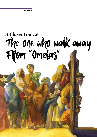## **A Closer Look at** The one who walk away<br>Filom "Omelas"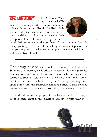## **SPOILER ALERT**

"The Ones Who Walk Away from Omelas" is

an award-winning short fiction by the famous science fiction writer Ursula Le Guin. It is set in a utopian city named Omelas, where they sacrifice a child's life to ensure their prosperity. The child must be kept in a cell,



barely fed, never leaving the confines of the basement. But this "scapegoating" – the act of punishing an innocent person for the greater good – pushes some people to make a decision: to walk away from Omelas.

The story begins with a joyful depiction of the Festival of Summer. The morning air is crisp. A procession is moving, smiles painting everyone's faces. The joyous clang of bells rings against the serene background. Yet, this is just a normal day in Omelas. Even Le Guin compares Omelas to a fairytale, "long ago, far away, once upon a time." But this prosperity comes at a price. A child must be imprisoned, and not even a kind word should be spoken to that kid.

Facing this dilemma, the people of Omelas react in different ways. Most of them adapt to this condition and get on with their lives.

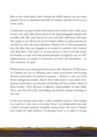But on the other hand, after visiting the child's prison, we see some people choose to abandon their life in Omelas, and they do not ever come back.

Ursula does not give much information about those who walk away. In fact, she only talks about them in the final paragraph, despite the novella's title. We can't know for sure why they walk away and what they hope to see. However, it's not hard to think of some reasons. In our life, we face the same dilemma. Maybe not of this proportion, but the idea that our happiness is rooted in another one's misery isn't that alien. And some of us may choose to leave, just like those in Omelas, to cope with this moral question. It might be out of selfrighteousness, or maybe it is because we seek our absolution – to free ourselves of guilt.

Whatever the case, leaving doesn't answer this dilemma. If Deserters of Omelas act out of defiance, they surely must know that leaving doesn't merit them the desired outcome – which is a city not born from outrageous cruelty. And if they walk away to ease their everpresent conscience, no amount of leaving will ever relieve them of their burden. They all bear a collective responsibility to that child. They owe that kid a life, and bailing out doesn't change anything in the end.

In the end, leaving seems like a rather simplistic answer. And reading too much in it may turn to be futile. Here is an indisputable fact; that a child is brutally tortured. Ironically, maybe those who stay in Omelas have made the right decision. Or perhaps, there is no right or wrong.